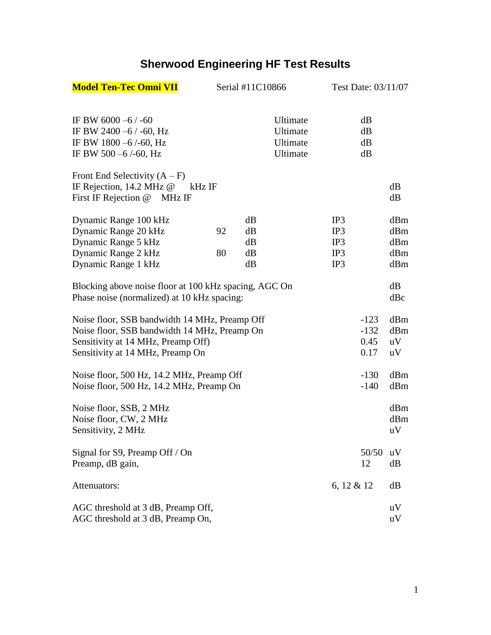## **Sherwood Engineering HF Test Results**

| <b>Model Ten-Tec Omni VII</b>                                                                                                                                           | Serial #11C10866 |                            | Test Date: 03/11/07                          |                                 |                                  |                                 |
|-------------------------------------------------------------------------------------------------------------------------------------------------------------------------|------------------|----------------------------|----------------------------------------------|---------------------------------|----------------------------------|---------------------------------|
| IF BW 6000 -6 $/$ -60<br>IF BW 2400 $-6$ / -60, Hz<br>IF BW 1800 -6/-60, Hz<br>IF BW 500 $-6$ /-60, Hz                                                                  |                  |                            | Ultimate<br>Ultimate<br>Ultimate<br>Ultimate |                                 | dB<br>dB<br>dB<br>dB             |                                 |
| Front End Selectivity $(A - F)$<br>IF Rejection, $14.2 \text{ MHz}$ @<br>kHz IF<br>First IF Rejection @ MHz IF                                                          |                  |                            |                                              |                                 |                                  | dB<br>dB                        |
| Dynamic Range 100 kHz<br>Dynamic Range 20 kHz<br>Dynamic Range 5 kHz<br>Dynamic Range 2 kHz<br>Dynamic Range 1 kHz                                                      | 92<br>80         | dB<br>dB<br>dB<br>dB<br>dB |                                              | IP3<br>IP3<br>IP3<br>IP3<br>IP3 |                                  | dBm<br>dBm<br>dBm<br>dBm<br>dBm |
| Blocking above noise floor at 100 kHz spacing, AGC On<br>Phase noise (normalized) at 10 kHz spacing:                                                                    |                  |                            |                                              |                                 |                                  | dB<br>dBc                       |
| Noise floor, SSB bandwidth 14 MHz, Preamp Off<br>Noise floor, SSB bandwidth 14 MHz, Preamp On<br>Sensitivity at 14 MHz, Preamp Off)<br>Sensitivity at 14 MHz, Preamp On |                  |                            |                                              |                                 | $-123$<br>$-132$<br>0.45<br>0.17 | dBm<br>dBm<br>uV<br>uV          |
| Noise floor, 500 Hz, 14.2 MHz, Preamp Off<br>Noise floor, 500 Hz, 14.2 MHz, Preamp On                                                                                   |                  |                            |                                              |                                 | $-130$<br>$-140$                 | dBm<br>dBm                      |
| Noise floor, SSB, 2 MHz<br>Noise floor, CW, 2 MHz<br>Sensitivity, 2 MHz                                                                                                 |                  |                            |                                              |                                 |                                  | dBm<br>dBm<br>uV                |
| Signal for S9, Preamp Off / On<br>Preamp, dB gain,                                                                                                                      |                  |                            |                                              |                                 | 50/50<br>12                      | uV<br>dB                        |
| Attenuators:                                                                                                                                                            |                  |                            |                                              | 6, 12 & 12                      |                                  | dB                              |
| AGC threshold at 3 dB, Preamp Off,<br>AGC threshold at 3 dB, Preamp On,                                                                                                 |                  |                            |                                              |                                 |                                  | uV<br>uV                        |